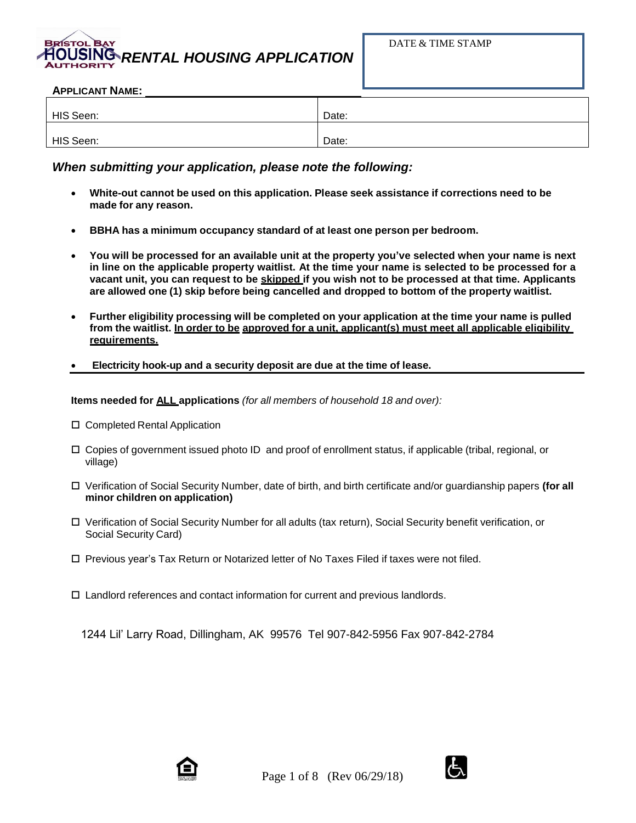# *RENTAL HOUSING APPLICATION* **AUTHORITY**

#### **APPLICANT NAME:**

| HIS Seen: | Date: |
|-----------|-------|
|           |       |
| HIS Seen: | Date: |

## *When submitting your application, please note the following:*

- **White-out cannot be used on this application. Please seek assistance if corrections need to be made for any reason.**
- **BBHA has a minimum occupancy standard of at least one person per bedroom.**
- You will be processed for an available unit at the property you've selected when your name is next in line on the applicable property waitlist. At the time your name is selected to be processed for a vacant unit, you can request to be skipped if you wish not to be processed at that time. Applicants **are allowed one (1) skip before being cancelled and dropped to bottom of the property waitlist.**
- **Further eligibility processing will be completed on your application at the time your name is pulled from the waitlist. In order to be approved for a unit, applicant(s) must meet all applicable eligibility requirements.**
- **Electricity hook-up and a security deposit are due at the time of lease.**

**Items needed for ALL applications** *(for all members of household 18 and over):*

- □ Completed Rental Application
- $\Box$  Copies of government issued photo ID and proof of enrollment status, if applicable (tribal, regional, or village)
- Verification of Social Security Number, date of birth, and birth certificate and/or guardianship papers **(for all minor children on application)**
- Verification of Social Security Number for all adults (tax return), Social Security benefit verification, or Social Security Card)
- $\square$  Previous year's Tax Return or Notarized letter of No Taxes Filed if taxes were not filed.
- Landlord references and contact information for current and previous landlords.

1244 Lil' Larry Road, Dillingham, AK 99576 Tel 907-842-5956 Fax 907-842-2784



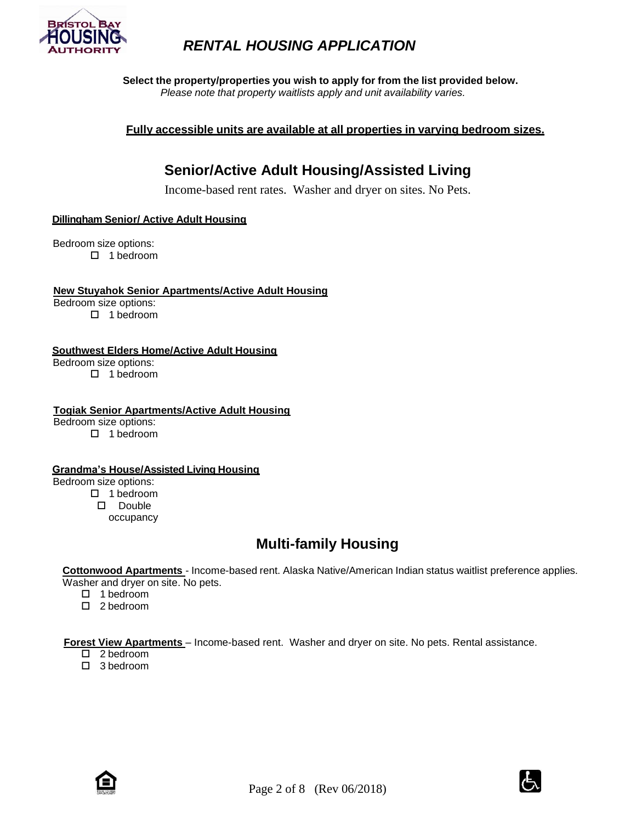

**Select the property/properties you wish to apply for from the list provided below.** *Please note that property waitlists apply and unit availability varies.*

**Fully accessible units are available at all properties in varying bedroom sizes.**

# **Senior/Active Adult Housing/Assisted Living**

Income-based rent rates. Washer and dryer on sites. No Pets.

### **Dillingham Senior/ Active Adult Housing**

Bedroom size options:  $\Box$  1 bedroom

#### **New Stuyahok Senior Apartments/Active Adult Housing**

Bedroom size options:

□ 1 bedroom

### **Southwest Elders Home/Active Adult Housing**

Bedroom size options:

□ 1 bedroom

### **Togiak Senior Apartments/Active Adult Housing**

Bedroom size options:

□ 1 bedroom

### **Grandma's House/Assisted Living Housing**

Bedroom size options:

□ 1 bedroom

 Double occupancy

# **Multi-family Housing**

**Cottonwood Apartments** - Income-based rent. Alaska Native/American Indian status waitlist preference applies. Washer and dryer on site. No pets.

- $\Box$  1 bedroom
- □ 2 bedroom

**Forest View Apartments** – Income-based rent. Washer and dryer on site. No pets. Rental assistance.

- □ 2 bedroom
- □ 3 bedroom



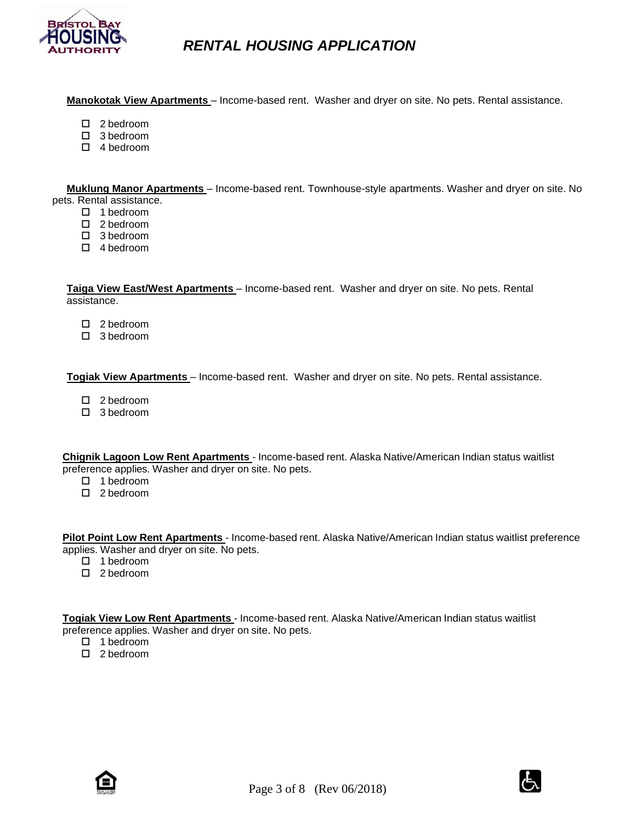

**Manokotak View Apartments** – Income-based rent. Washer and dryer on site. No pets. Rental assistance.

- □ 2 bedroom
- □ 3 bedroom
- $\Box$  4 bedroom

 **Muklung Manor Apartments** – Income-based rent. Townhouse-style apartments. Washer and dryer on site. No

- pets. Rental assistance.
	- □ 1 bedroom
	- □ 2 bedroom
	- □ 3 bedroom
	- □ 4 bedroom

 **Taiga View East/West Apartments** – Income-based rent. Washer and dryer on site. No pets. Rental assistance.

- □ 2 bedroom
- □ 3 bedroom

 **Togiak View Apartments** – Income-based rent. Washer and dryer on site. No pets. Rental assistance.

- □ 2 bedroom
- □ 3 bedroom

**Chignik Lagoon Low Rent Apartments** - Income-based rent. Alaska Native/American Indian status waitlist preference applies. Washer and dryer on site. No pets.

- $\Box$  1 bedroom
- □ 2 bedroom

**Pilot Point Low Rent Apartments** - Income-based rent. Alaska Native/American Indian status waitlist preference applies. Washer and dryer on site. No pets.

- □ 1 bedroom
- □ 2 bedroom

**Togiak View Low Rent Apartments** - Income-based rent. Alaska Native/American Indian status waitlist preference applies. Washer and dryer on site. No pets.

- $\Box$  1 bedroom
- $\Box$  2 bedroom



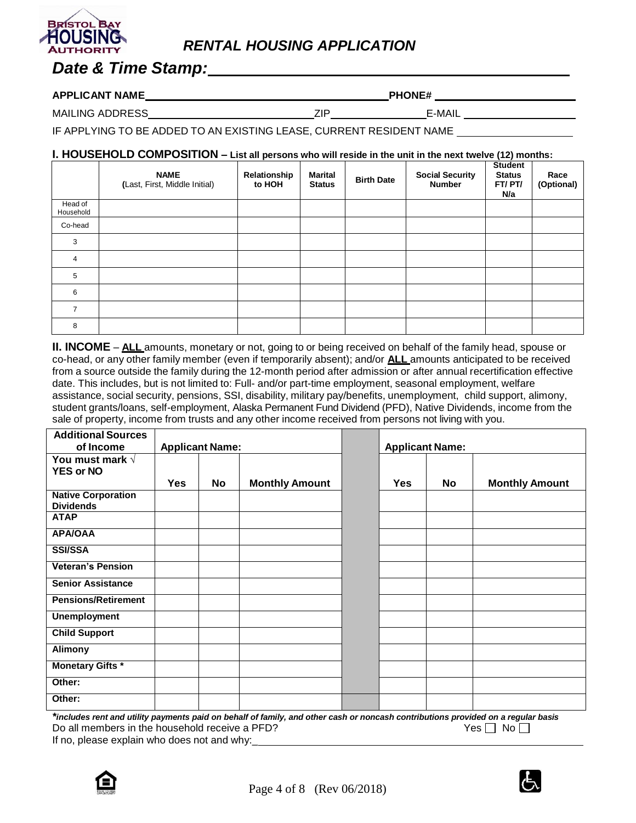# *Date & Time Stamp:*

### $APPLICANT NAME$  **PHONE#**

MAILING ADDRESS ZIP E-MAIL

IF APPLYING TO BE ADDED TO AN EXISTING LEASE, CURRENT RESIDENT NAME

## **I. HOUSEHOLD COMPOSITION – List all persons who will reside in the unit in the next twelve (12) months:**

|                      | <b>NAME</b><br>(Last, First, Middle Initial) | Relationship<br>to HOH | <b>Marital</b><br><b>Status</b> | <b>Birth Date</b> | <b>Social Security</b><br><b>Number</b> | <b>Student</b><br><b>Status</b><br>FT/PT/<br>N/a | Race<br>(Optional) |
|----------------------|----------------------------------------------|------------------------|---------------------------------|-------------------|-----------------------------------------|--------------------------------------------------|--------------------|
| Head of<br>Household |                                              |                        |                                 |                   |                                         |                                                  |                    |
| Co-head              |                                              |                        |                                 |                   |                                         |                                                  |                    |
| 3                    |                                              |                        |                                 |                   |                                         |                                                  |                    |
| 4                    |                                              |                        |                                 |                   |                                         |                                                  |                    |
| 5                    |                                              |                        |                                 |                   |                                         |                                                  |                    |
| 6                    |                                              |                        |                                 |                   |                                         |                                                  |                    |
| 7                    |                                              |                        |                                 |                   |                                         |                                                  |                    |
| 8                    |                                              |                        |                                 |                   |                                         |                                                  |                    |

**II. INCOME** – **ALL** amounts, monetary or not, going to or being received on behalf of the family head, spouse or co-head, or any other family member (even if temporarily absent); and/or **ALL** amounts anticipated to be received from a source outside the family during the 12-month period after admission or after annual recertification effective date. This includes, but is not limited to: Full- and/or part-time employment, seasonal employment, welfare assistance, social security, pensions, SSI, disability, military pay/benefits, unemployment, child support, alimony, student grants/loans, self-employment, Alaska Permanent Fund Dividend (PFD), Native Dividends, income from the sale of property, income from trusts and any other income received from persons not living with you.

| <b>Additional Sources</b><br>of Income        | <b>Applicant Name:</b> |    |                       |            | <b>Applicant Name:</b> |                       |
|-----------------------------------------------|------------------------|----|-----------------------|------------|------------------------|-----------------------|
| You must mark $\sqrt{}$<br><b>YES or NO</b>   |                        |    |                       |            |                        |                       |
|                                               | <b>Yes</b>             | No | <b>Monthly Amount</b> | <b>Yes</b> | No                     | <b>Monthly Amount</b> |
| <b>Native Corporation</b><br><b>Dividends</b> |                        |    |                       |            |                        |                       |
| <b>ATAP</b>                                   |                        |    |                       |            |                        |                       |
| <b>APA/OAA</b>                                |                        |    |                       |            |                        |                       |
| <b>SSI/SSA</b>                                |                        |    |                       |            |                        |                       |
| <b>Veteran's Pension</b>                      |                        |    |                       |            |                        |                       |
| <b>Senior Assistance</b>                      |                        |    |                       |            |                        |                       |
| <b>Pensions/Retirement</b>                    |                        |    |                       |            |                        |                       |
| <b>Unemployment</b>                           |                        |    |                       |            |                        |                       |
| <b>Child Support</b>                          |                        |    |                       |            |                        |                       |
| Alimony                                       |                        |    |                       |            |                        |                       |
| <b>Monetary Gifts *</b>                       |                        |    |                       |            |                        |                       |
| Other:                                        |                        |    |                       |            |                        |                       |
| Other:                                        |                        |    |                       |            |                        |                       |

\*includes rent and utility payments paid on behalf of family, and other cash or noncash contributions provided on a regular basis<br>Do all members in the household receive a PFD? Do all members in the household receive a PFD? If no, please explain who does not and why:

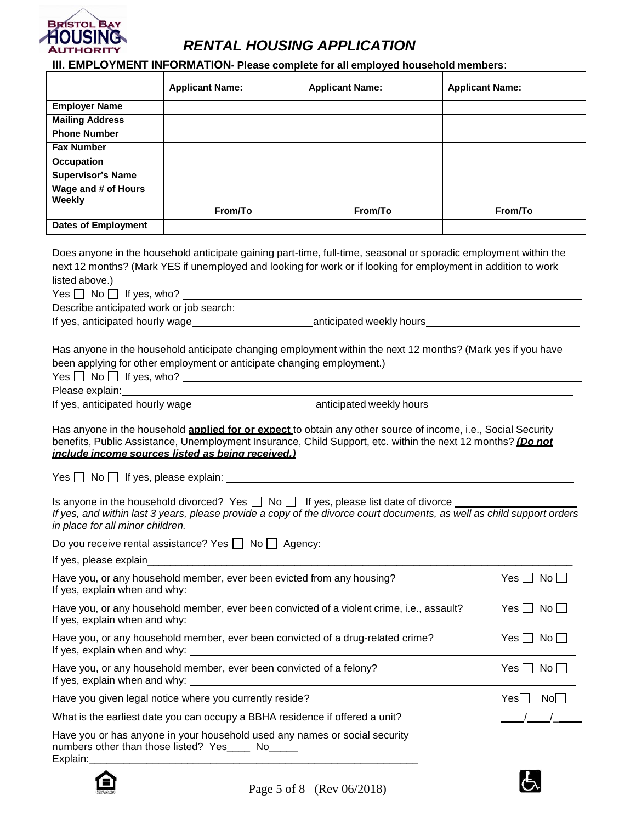

# **III. EMPLOYMENT INFORMATION- Please complete for all employed household members**:

|                                                                                                                                                                                                                                                                                                                                                                                                                                                                                                                                                                |                                                                                              | <b>III. EMPLOYMENT INFORMATION- Please complete for all employed household members:</b> |                        |  |  |
|----------------------------------------------------------------------------------------------------------------------------------------------------------------------------------------------------------------------------------------------------------------------------------------------------------------------------------------------------------------------------------------------------------------------------------------------------------------------------------------------------------------------------------------------------------------|----------------------------------------------------------------------------------------------|-----------------------------------------------------------------------------------------|------------------------|--|--|
|                                                                                                                                                                                                                                                                                                                                                                                                                                                                                                                                                                | <b>Applicant Name:</b>                                                                       | <b>Applicant Name:</b>                                                                  | <b>Applicant Name:</b> |  |  |
| <b>Employer Name</b>                                                                                                                                                                                                                                                                                                                                                                                                                                                                                                                                           |                                                                                              |                                                                                         |                        |  |  |
| <b>Mailing Address</b>                                                                                                                                                                                                                                                                                                                                                                                                                                                                                                                                         |                                                                                              |                                                                                         |                        |  |  |
| <b>Phone Number</b>                                                                                                                                                                                                                                                                                                                                                                                                                                                                                                                                            |                                                                                              |                                                                                         |                        |  |  |
| <b>Fax Number</b>                                                                                                                                                                                                                                                                                                                                                                                                                                                                                                                                              |                                                                                              |                                                                                         |                        |  |  |
| Occupation<br><b>Supervisor's Name</b>                                                                                                                                                                                                                                                                                                                                                                                                                                                                                                                         |                                                                                              |                                                                                         |                        |  |  |
| Wage and # of Hours                                                                                                                                                                                                                                                                                                                                                                                                                                                                                                                                            |                                                                                              |                                                                                         |                        |  |  |
| Weekly                                                                                                                                                                                                                                                                                                                                                                                                                                                                                                                                                         |                                                                                              |                                                                                         |                        |  |  |
|                                                                                                                                                                                                                                                                                                                                                                                                                                                                                                                                                                | From/To                                                                                      | From/To                                                                                 | From/To                |  |  |
| <b>Dates of Employment</b>                                                                                                                                                                                                                                                                                                                                                                                                                                                                                                                                     |                                                                                              |                                                                                         |                        |  |  |
| Does anyone in the household anticipate gaining part-time, full-time, seasonal or sporadic employment within the<br>next 12 months? (Mark YES if unemployed and looking for work or if looking for employment in addition to work<br>listed above.)<br>If yes, anticipated hourly wage_______________________________anticipated weekly hours________________________<br>Has anyone in the household anticipate changing employment within the next 12 months? (Mark yes if you have<br>been applying for other employment or anticipate changing employment.) |                                                                                              |                                                                                         |                        |  |  |
|                                                                                                                                                                                                                                                                                                                                                                                                                                                                                                                                                                |                                                                                              | $Yes \Box No \Box If yes, who?$                                                         |                        |  |  |
|                                                                                                                                                                                                                                                                                                                                                                                                                                                                                                                                                                |                                                                                              |                                                                                         |                        |  |  |
| Has anyone in the household <b>applied for or expect</b> to obtain any other source of income, i.e., Social Security<br>benefits, Public Assistance, Unemployment Insurance, Child Support, etc. within the next 12 months? (Do not<br>include income sources listed as being received.)<br>Is anyone in the household divorced? Yes $\Box$ No $\Box$ If yes, please list date of divorce<br>If yes, and within last 3 years, please provide a copy of the divorce court documents, as well as child support orders<br>in place for all minor children.        |                                                                                              |                                                                                         |                        |  |  |
|                                                                                                                                                                                                                                                                                                                                                                                                                                                                                                                                                                |                                                                                              |                                                                                         |                        |  |  |
|                                                                                                                                                                                                                                                                                                                                                                                                                                                                                                                                                                |                                                                                              |                                                                                         |                        |  |  |
|                                                                                                                                                                                                                                                                                                                                                                                                                                                                                                                                                                | Have you, or any household member, ever been evicted from any housing?<br>$Yes \Box No \Box$ |                                                                                         |                        |  |  |
| Have you, or any household member, ever been convicted of a violent crime, i.e., assault?<br>$Yes \Box No \Box$                                                                                                                                                                                                                                                                                                                                                                                                                                                |                                                                                              |                                                                                         |                        |  |  |
| Have you, or any household member, ever been convicted of a drug-related crime?<br>$Yes \bigsqcup No \bigsqcup$                                                                                                                                                                                                                                                                                                                                                                                                                                                |                                                                                              |                                                                                         |                        |  |  |
|                                                                                                                                                                                                                                                                                                                                                                                                                                                                                                                                                                | Have you, or any household member, ever been convicted of a felony?                          |                                                                                         | $Yes \Box No \Box$     |  |  |
|                                                                                                                                                                                                                                                                                                                                                                                                                                                                                                                                                                | Have you given legal notice where you currently reside?                                      |                                                                                         | $Yes \Box No \Box$     |  |  |
|                                                                                                                                                                                                                                                                                                                                                                                                                                                                                                                                                                | What is the earliest date you can occupy a BBHA residence if offered a unit?                 |                                                                                         |                        |  |  |
| Have you or has anyone in your household used any names or social security<br>numbers other than those listed? Yes_____ No_____                                                                                                                                                                                                                                                                                                                                                                                                                                |                                                                                              |                                                                                         |                        |  |  |



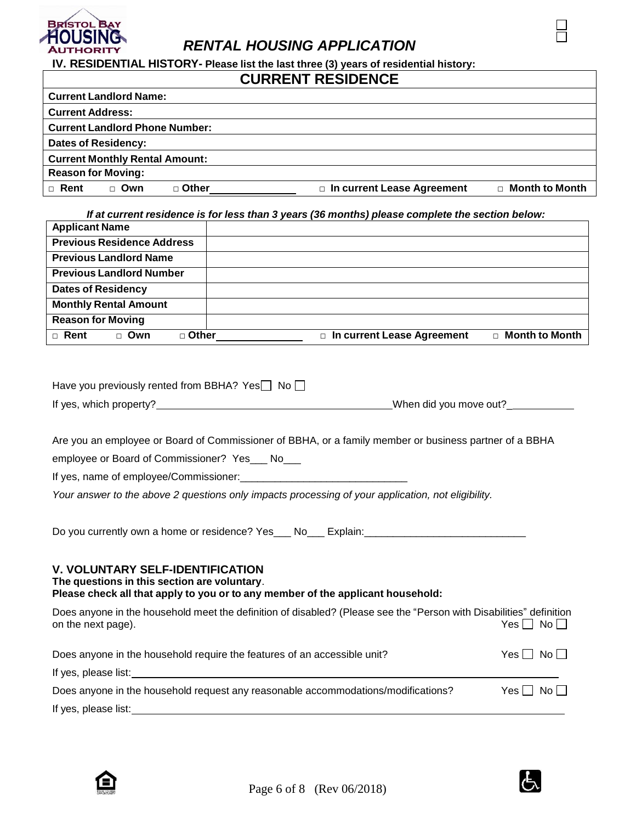

**IV. RESIDENTIAL HISTORY- Please list the last three (3) years of residential history:**

## **CURRENT RESIDENCE**

| <b>Current Landlord Name:</b>         |       |         |                                   |                       |
|---------------------------------------|-------|---------|-----------------------------------|-----------------------|
| <b>Current Address:</b>               |       |         |                                   |                       |
| <b>Current Landlord Phone Number:</b> |       |         |                                   |                       |
| <b>Dates of Residency:</b>            |       |         |                                   |                       |
| <b>Current Monthly Rental Amount:</b> |       |         |                                   |                       |
| <b>Reason for Moving:</b>             |       |         |                                   |                       |
| $\Box$ Rent                           | □ Own | □ Other | $\Box$ In current Lease Agreement | $\Box$ Month to Month |

*If at current residence is for less than 3 years (36 months) please complete the section below:*

| <b>Applicant Name</b>                |                              |                       |
|--------------------------------------|------------------------------|-----------------------|
| <b>Previous Residence Address</b>    |                              |                       |
| <b>Previous Landlord Name</b>        |                              |                       |
| <b>Previous Landlord Number</b>      |                              |                       |
| <b>Dates of Residency</b>            |                              |                       |
| <b>Monthly Rental Amount</b>         |                              |                       |
| <b>Reason for Moving</b>             |                              |                       |
| $\Box$ Rent<br>$\Box$ Other<br>□ Own | □ In current Lease Agreement | $\Box$ Month to Month |

| Have you previously rented from BBHA? Yes $\Box$ No $\Box$ |                        |
|------------------------------------------------------------|------------------------|
| If yes, which property?                                    | When did you move out? |

Are you an employee or Board of Commissioner of BBHA, or a family member or business partner of a BBHA

employee or Board of Commissioner? Yes\_\_\_ No\_\_\_

If yes, name of employee/Commissioner:

*Your answer to the above 2 questions only impacts processing of your application, not eligibility.*

Do you currently own a home or residence? Yes \_\_ No \_\_ Explain: \_\_\_\_\_\_\_\_\_\_\_\_\_\_\_\_\_\_\_\_\_\_\_

### **V. VOLUNTARY SELF-IDENTIFICATION**

**The questions in this section are voluntary**.

## **Please check all that apply to you or to any member of the applicant household:**

| Does anyone in the household meet the definition of disabled? (Please see the "Person with Disabilities" definition<br>on the next page). | Yes I I No I I       |
|-------------------------------------------------------------------------------------------------------------------------------------------|----------------------|
| Does anyone in the household require the features of an accessible unit?                                                                  | Yes $\Box$ No $\Box$ |
| If yes, please list:                                                                                                                      |                      |
| Does anyone in the household request any reasonable accommodations/modifications?                                                         | Yes $\Box$ No $\Box$ |
| If yes, please list:                                                                                                                      |                      |



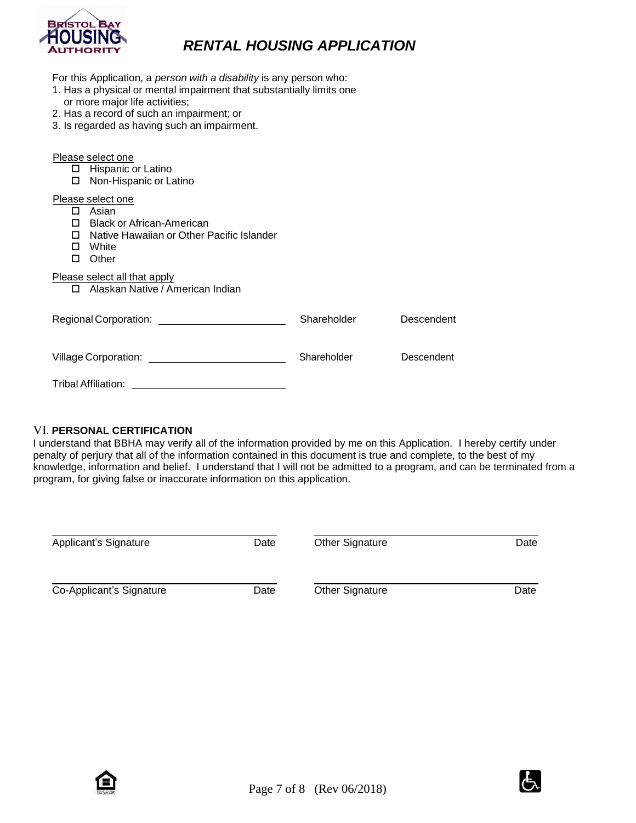

| For this Application, a person with a disability is any person who:<br>1. Has a physical or mental impairment that substantially limits one<br>or more major life activities;<br>2. Has a record of such an impairment; or<br>3. Is regarded as having such an impairment. |             |            |  |  |
|----------------------------------------------------------------------------------------------------------------------------------------------------------------------------------------------------------------------------------------------------------------------------|-------------|------------|--|--|
| Please select one<br>$\Box$ Hispanic or Latino<br>Non-Hispanic or Latino<br>□                                                                                                                                                                                              |             |            |  |  |
| Please select one<br>□ Asian<br><b>Black or African-American</b><br>П.<br>Native Hawaiian or Other Pacific Islander<br>$\Box$<br>White<br>п<br>Other<br>п                                                                                                                  |             |            |  |  |
| Please select all that apply<br>□ Alaskan Native / American Indian                                                                                                                                                                                                         |             |            |  |  |
|                                                                                                                                                                                                                                                                            | Shareholder | Descendent |  |  |
| Village Corporation: <u>contract and the contract of the contract of the contract of the contract of the contract of the contract of the contract of the contract of the contract of the contract of the contract of the contrac</u>                                       | Shareholder | Descendent |  |  |
| Tribal Affiliation:                                                                                                                                                                                                                                                        |             |            |  |  |

### VI. **PERSONAL CERTIFICATION**

I understand that BBHA may verify all of the information provided by me on this Application. I hereby certify under penalty of perjury that all of the information contained in this document is true and complete, to the best of my knowledge, information and belief. I understand that I will not be admitted to a program, and can be terminated from a program, for giving false or inaccurate information on this application.

| Applicant's Signature    | Date | Other Signature | Date |
|--------------------------|------|-----------------|------|
| Co-Applicant's Signature | Date | Other Signature | Date |



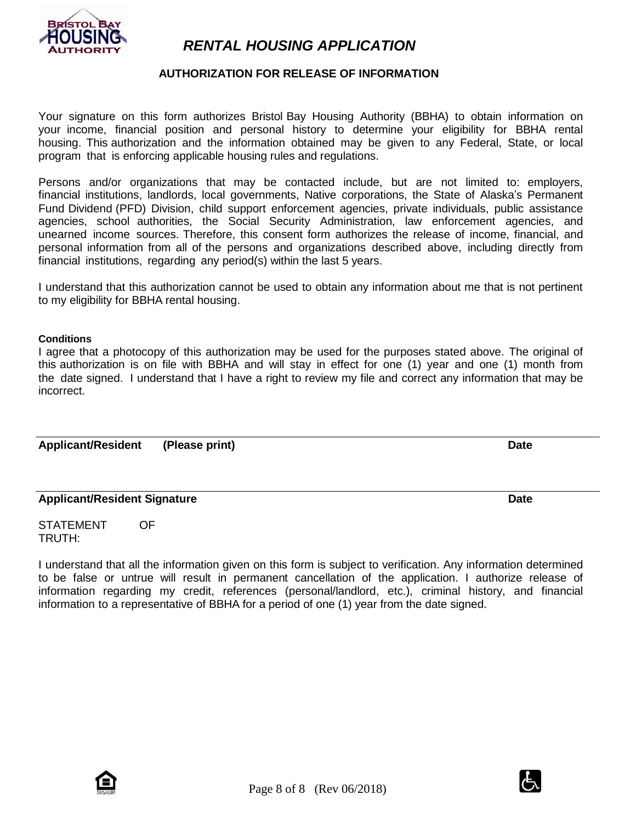

## **AUTHORIZATION FOR RELEASE OF INFORMATION**

Your signature on this form authorizes Bristol Bay Housing Authority (BBHA) to obtain information on your income, financial position and personal history to determine your eligibility for BBHA rental housing. This authorization and the information obtained may be given to any Federal, State, or local program that is enforcing applicable housing rules and regulations.

Persons and/or organizations that may be contacted include, but are not limited to: employers, financial institutions, landlords, local governments, Native corporations, the State of Alaska's Permanent Fund Dividend (PFD) Division, child support enforcement agencies, private individuals, public assistance agencies, school authorities, the Social Security Administration, law enforcement agencies, and unearned income sources. Therefore, this consent form authorizes the release of income, financial, and personal information from all of the persons and organizations described above, including directly from financial institutions, regarding any period(s) within the last 5 years.

I understand that this authorization cannot be used to obtain any information about me that is not pertinent to my eligibility for BBHA rental housing.

#### **Conditions**

I agree that a photocopy of this authorization may be used for the purposes stated above. The original of this authorization is on file with BBHA and will stay in effect for one (1) year and one (1) month from the date signed. I understand that I have a right to review my file and correct any information that may be incorrect.

Applicant/Resident (Please print) and the control of the control of the control of the control of the control of the control of the control of the control of the control of the control of the control of the control of the

### **Applicant/Resident Signature Date**

STATEMENT OF TRUTH:

I understand that all the information given on this form is subject to verification. Any information determined to be false or untrue will result in permanent cancellation of the application. I authorize release of information regarding my credit, references (personal/landlord, etc.), criminal history, and financial information to a representative of BBHA for a period of one (1) year from the date signed.



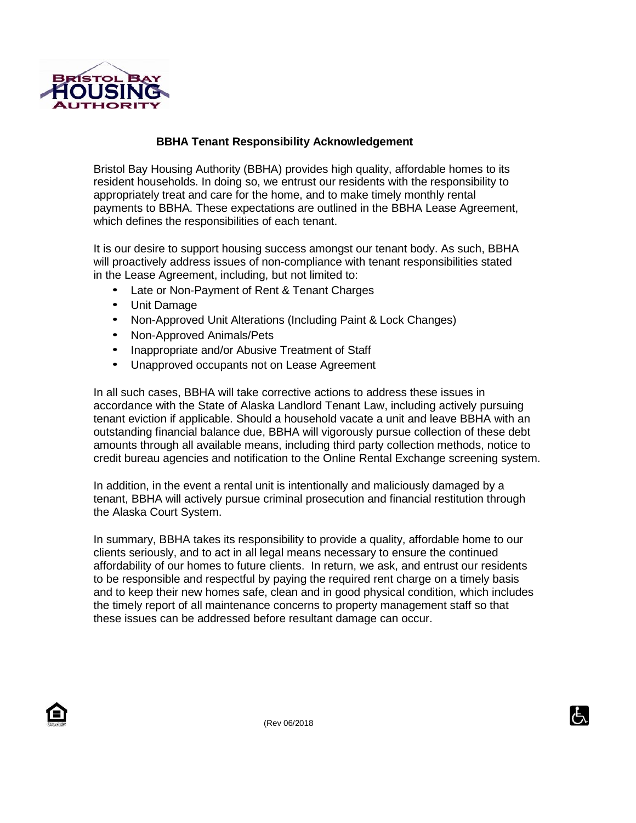

## **BBHA Tenant Responsibility Acknowledgement**

Bristol Bay Housing Authority (BBHA) provides high quality, affordable homes to its resident households. In doing so, we entrust our residents with the responsibility to appropriately treat and care for the home, and to make timely monthly rental payments to BBHA. These expectations are outlined in the BBHA Lease Agreement, which defines the responsibilities of each tenant.

It is our desire to support housing success amongst our tenant body. As such, BBHA will proactively address issues of non-compliance with tenant responsibilities stated in the Lease Agreement, including, but not limited to:

- Late or Non-Payment of Rent & Tenant Charges
- Unit Damage
- Non-Approved Unit Alterations (Including Paint & Lock Changes)
- Non-Approved Animals/Pets
- Inappropriate and/or Abusive Treatment of Staff
- Unapproved occupants not on Lease Agreement

In all such cases, BBHA will take corrective actions to address these issues in accordance with the State of Alaska Landlord Tenant Law, including actively pursuing tenant eviction if applicable. Should a household vacate a unit and leave BBHA with an outstanding financial balance due, BBHA will vigorously pursue collection of these debt amounts through all available means, including third party collection methods, notice to credit bureau agencies and notification to the Online Rental Exchange screening system.

In addition, in the event a rental unit is intentionally and maliciously damaged by a tenant, BBHA will actively pursue criminal prosecution and financial restitution through the Alaska Court System.

In summary, BBHA takes its responsibility to provide a quality, affordable home to our clients seriously, and to act in all legal means necessary to ensure the continued affordability of our homes to future clients. In return, we ask, and entrust our residents to be responsible and respectful by paying the required rent charge on a timely basis and to keep their new homes safe, clean and in good physical condition, which includes the timely report of all maintenance concerns to property management staff so that these issues can be addressed before resultant damage can occur.